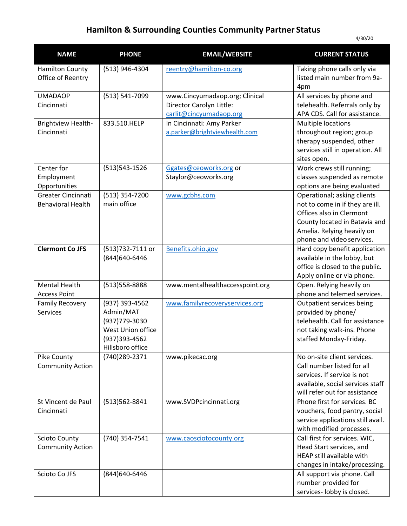## **Hamilton & Surrounding Counties Community Partner Status**

| <b>NAME</b>                                     | <b>PHONE</b>                                                                                             | <b>EMAIL/WEBSITE</b>                                                                  | <b>CURRENT STATUS</b>                                                                                                                                                                  |
|-------------------------------------------------|----------------------------------------------------------------------------------------------------------|---------------------------------------------------------------------------------------|----------------------------------------------------------------------------------------------------------------------------------------------------------------------------------------|
| <b>Hamilton County</b><br>Office of Reentry     | (513) 946-4304                                                                                           | reentry@hamilton-co.org                                                               | Taking phone calls only via<br>listed main number from 9a-<br>4pm                                                                                                                      |
| <b>UMADAOP</b><br>Cincinnati                    | (513) 541-7099                                                                                           | www.Cincyumadaop.org; Clinical<br>Director Carolyn Little:<br>carlit@cincyumadaop.org | All services by phone and<br>telehealth. Referrals only by<br>APA CDS. Call for assistance.                                                                                            |
| Brightview Health-<br>Cincinnati                | 833.510.HELP                                                                                             | In Cincinnati: Amy Parker<br>a.parker@brightviewhealth.com                            | Multiple locations<br>throughout region; group<br>therapy suspended, other<br>services still in operation. All<br>sites open.                                                          |
| Center for<br>Employment<br>Opportunities       | (513) 543-1526                                                                                           | Ggates@ceoworks.org or<br>Staylor@ceoworks.org                                        | Work crews still running;<br>classes suspended as remote<br>options are being evaluated                                                                                                |
| Greater Cincinnati<br><b>Behavioral Health</b>  | (513) 354-7200<br>main office                                                                            | www.gcbhs.com                                                                         | Operational; asking clients<br>not to come in if they are ill.<br>Offices also in Clermont<br>County located in Batavia and<br>Amelia. Relying heavily on<br>phone and video services. |
| <b>Clermont Co JFS</b>                          | (513)732-7111 or<br>(844) 640-6446                                                                       | Benefits.ohio.gov                                                                     | Hard copy benefit application<br>available in the lobby, but<br>office is closed to the public.<br>Apply online or via phone.                                                          |
| <b>Mental Health</b><br><b>Access Point</b>     | (513) 558-8888                                                                                           | www.mentalhealthaccesspoint.org                                                       | Open. Relying heavily on<br>phone and telemed services.                                                                                                                                |
| <b>Family Recovery</b><br><b>Services</b>       | (937) 393-4562<br>Admin/MAT<br>(937) 779-3030<br>West Union office<br>(937) 393-4562<br>Hillsboro office | www.familyrecoveryservices.org                                                        | Outpatient services being<br>provided by phone/<br>telehealth. Call for assistance<br>not taking walk-ins. Phone<br>staffed Monday-Friday.                                             |
| Pike County<br><b>Community Action</b>          | (740)289-2371                                                                                            | www.pikecac.org                                                                       | No on-site client services.<br>Call number listed for all<br>services. If service is not<br>available, social services staff<br>will refer out for assistance                          |
| St Vincent de Paul<br>Cincinnati                | (513) 562-8841                                                                                           | www.SVDPcincinnati.org                                                                | Phone first for services. BC<br>vouchers, food pantry, social<br>service applications still avail.<br>with modified processes.                                                         |
| <b>Scioto County</b><br><b>Community Action</b> | (740) 354-7541                                                                                           | www.caosciotocounty.org                                                               | Call first for services. WIC,<br>Head Start services, and<br>HEAP still available with<br>changes in intake/processing.                                                                |
| Scioto Co JFS                                   | (844) 640-6446                                                                                           |                                                                                       | All support via phone. Call<br>number provided for<br>services- lobby is closed.                                                                                                       |

4/30/20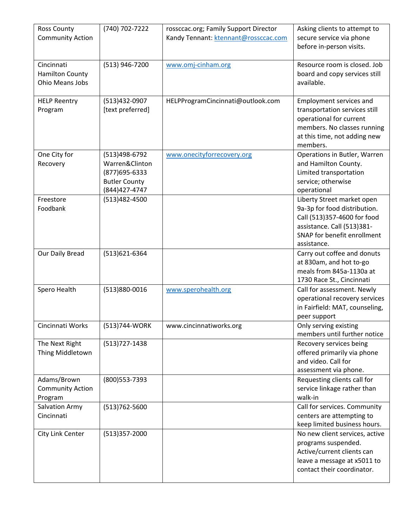| <b>Ross County</b>      | (740) 702-7222       | rossccac.org; Family Support Director | Asking clients to attempt to   |
|-------------------------|----------------------|---------------------------------------|--------------------------------|
| <b>Community Action</b> |                      | Kandy Tennant: ktennant@rossccac.com  | secure service via phone       |
|                         |                      |                                       | before in-person visits.       |
|                         |                      |                                       |                                |
| Cincinnati              | (513) 946-7200       | www.omj-cinham.org                    | Resource room is closed. Job   |
| <b>Hamilton County</b>  |                      |                                       | board and copy services still  |
| Ohio Means Jobs         |                      |                                       | available.                     |
|                         |                      |                                       |                                |
| <b>HELP Reentry</b>     | (513)432-0907        | HELPProgramCincinnati@outlook.com     | Employment services and        |
| Program                 | [text preferred]     |                                       | transportation services still  |
|                         |                      |                                       | operational for current        |
|                         |                      |                                       | members. No classes running    |
|                         |                      |                                       | at this time, not adding new   |
|                         |                      |                                       | members.                       |
| One City for            | (513)498-6792        | www.onecityforrecovery.org            | Operations in Butler, Warren   |
| Recovery                | Warren&Clinton       |                                       | and Hamilton County.           |
|                         | (877) 695-6333       |                                       | Limited transportation         |
|                         | <b>Butler County</b> |                                       | service; otherwise             |
|                         | (844) 427-4747       |                                       | operational                    |
| Freestore               | (513)482-4500        |                                       | Liberty Street market open     |
| Foodbank                |                      |                                       | 9a-3p for food distribution.   |
|                         |                      |                                       | Call (513)357-4600 for food    |
|                         |                      |                                       | assistance. Call (513)381-     |
|                         |                      |                                       | SNAP for benefit enrollment    |
|                         |                      |                                       | assistance.                    |
| Our Daily Bread         | (513)621-6364        |                                       | Carry out coffee and donuts    |
|                         |                      |                                       | at 830am, and hot to-go        |
|                         |                      |                                       | meals from 845a-1130a at       |
|                         |                      |                                       | 1730 Race St., Cincinnati      |
| Spero Health            | (513)880-0016        | www.sperohealth.org                   | Call for assessment. Newly     |
|                         |                      |                                       | operational recovery services  |
|                         |                      |                                       | in Fairfield: MAT, counseling, |
|                         |                      |                                       | peer support                   |
| Cincinnati Works        | (513)744-WORK        | www.cincinnatiworks.org               | Only serving existing          |
|                         |                      |                                       | members until further notice   |
| The Next Right          | (513) 727-1438       |                                       | Recovery services being        |
| Thing Middletown        |                      |                                       | offered primarily via phone    |
|                         |                      |                                       | and video. Call for            |
|                         |                      |                                       | assessment via phone.          |
| Adams/Brown             | (800) 553-7393       |                                       | Requesting clients call for    |
| <b>Community Action</b> |                      |                                       | service linkage rather than    |
| Program                 |                      |                                       | walk-in                        |
| Salvation Army          | (513) 762-5600       |                                       | Call for services. Community   |
| Cincinnati              |                      |                                       | centers are attempting to      |
|                         |                      |                                       | keep limited business hours.   |
| City Link Center        | (513)357-2000        |                                       | No new client services, active |
|                         |                      |                                       | programs suspended.            |
|                         |                      |                                       | Active/current clients can     |
|                         |                      |                                       | leave a message at x5011 to    |
|                         |                      |                                       | contact their coordinator.     |
|                         |                      |                                       |                                |